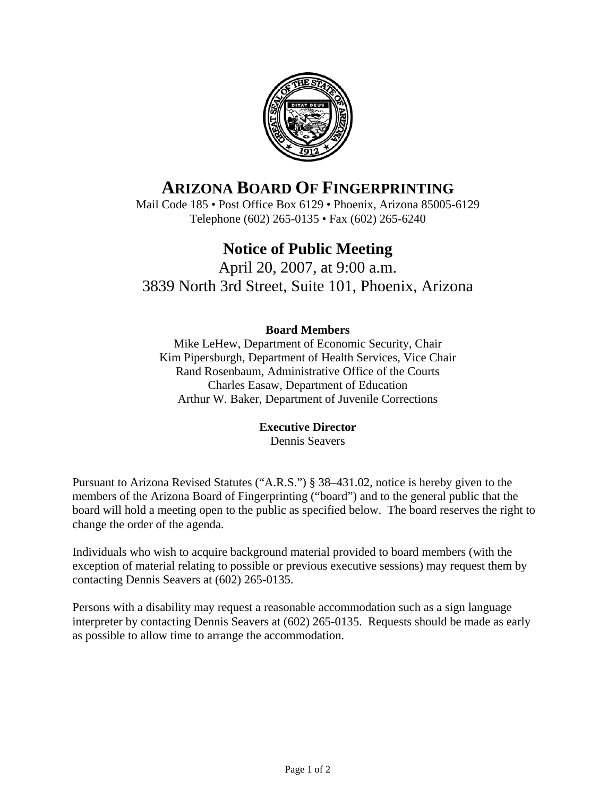

# **ARIZONA BOARD OF FINGERPRINTING**

Mail Code 185 • Post Office Box 6129 • Phoenix, Arizona 85005-6129 Telephone (602) 265-0135 • Fax (602) 265-6240

## **Notice of Public Meeting**

April 20, 2007, at 9:00 a.m. 3839 North 3rd Street, Suite 101, Phoenix, Arizona

#### **Board Members**

Mike LeHew, Department of Economic Security, Chair Kim Pipersburgh, Department of Health Services, Vice Chair Rand Rosenbaum, Administrative Office of the Courts Charles Easaw, Department of Education Arthur W. Baker, Department of Juvenile Corrections

#### **Executive Director**

Dennis Seavers

Pursuant to Arizona Revised Statutes ("A.R.S.") § 38–431.02, notice is hereby given to the members of the Arizona Board of Fingerprinting ("board") and to the general public that the board will hold a meeting open to the public as specified below. The board reserves the right to change the order of the agenda.

Individuals who wish to acquire background material provided to board members (with the exception of material relating to possible or previous executive sessions) may request them by contacting Dennis Seavers at (602) 265-0135.

Persons with a disability may request a reasonable accommodation such as a sign language interpreter by contacting Dennis Seavers at (602) 265-0135. Requests should be made as early as possible to allow time to arrange the accommodation.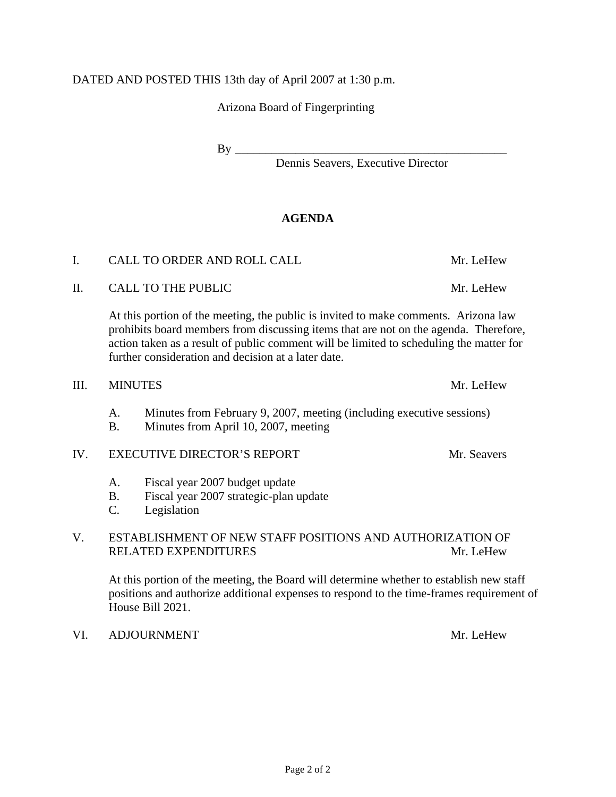#### DATED AND POSTED THIS 13th day of April 2007 at 1:30 p.m.

Arizona Board of Fingerprinting

 $\rm\,By\,\,$ 

Dennis Seavers, Executive Director

#### **AGENDA**

 At this portion of the meeting, the public is invited to make comments. Arizona law prohibits board members from discussing items that are not on the agenda. Therefore, action taken as a result of public comment will be limited to scheduling the matter for further consideration and decision at a later date.

#### III. MINUTES Mr. LeHew

- A. Minutes from February 9, 2007, meeting (including executive sessions)
- B. Minutes from April 10, 2007, meeting

#### IV. EXECUTIVE DIRECTOR'S REPORT Mr. Seavers

- A. Fiscal year 2007 budget update
- B. Fiscal year 2007 strategic-plan update
- C. Legislation

#### V. ESTABLISHMENT OF NEW STAFF POSITIONS AND AUTHORIZATION OF RELATED EXPENDITURES Mr. LeHew

 At this portion of the meeting, the Board will determine whether to establish new staff positions and authorize additional expenses to respond to the time-frames requirement of House Bill 2021.

#### VI. ADJOURNMENT Mr. LeHew

I. CALL TO ORDER AND ROLL CALL THE MILL CALL MILL CHEW

II. CALL TO THE PUBLIC Mr. LeHew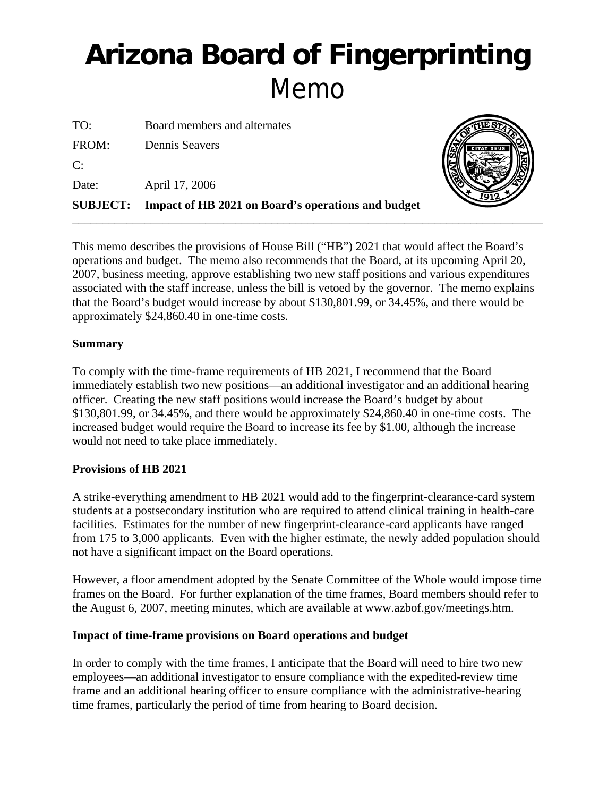# **Arizona Board of Fingerprinting** Memo

TO: Board members and alternates FROM: Dennis Seavers  $C:$ Date: April 17, 2006 **SUBJECT: Impact of HB 2021 on Board's operations and budget**



This memo describes the provisions of House Bill ("HB") 2021 that would affect the Board's operations and budget. The memo also recommends that the Board, at its upcoming April 20, 2007, business meeting, approve establishing two new staff positions and various expenditures associated with the staff increase, unless the bill is vetoed by the governor. The memo explains that the Board's budget would increase by about \$130,801.99, or 34.45%, and there would be approximately \$24,860.40 in one-time costs.

\_\_\_\_\_\_\_\_\_\_\_\_\_\_\_\_\_\_\_\_\_\_\_\_\_\_\_\_\_\_\_\_\_\_\_\_\_\_\_\_\_\_\_\_\_\_\_\_\_\_\_\_\_\_\_\_\_\_\_\_\_\_\_\_\_\_\_\_\_\_\_\_\_\_\_\_\_\_

#### **Summary**

To comply with the time-frame requirements of HB 2021, I recommend that the Board immediately establish two new positions—an additional investigator and an additional hearing officer. Creating the new staff positions would increase the Board's budget by about \$130,801.99, or 34.45%, and there would be approximately \$24,860.40 in one-time costs. The increased budget would require the Board to increase its fee by \$1.00, although the increase would not need to take place immediately.

#### **Provisions of HB 2021**

A strike-everything amendment to HB 2021 would add to the fingerprint-clearance-card system students at a postsecondary institution who are required to attend clinical training in health-care facilities. Estimates for the number of new fingerprint-clearance-card applicants have ranged from 175 to 3,000 applicants. Even with the higher estimate, the newly added population should not have a significant impact on the Board operations.

However, a floor amendment adopted by the Senate Committee of the Whole would impose time frames on the Board. For further explanation of the time frames, Board members should refer to the August 6, 2007, meeting minutes, which are available at www.azbof.gov/meetings.htm.

#### **Impact of time-frame provisions on Board operations and budget**

In order to comply with the time frames, I anticipate that the Board will need to hire two new employees—an additional investigator to ensure compliance with the expedited-review time frame and an additional hearing officer to ensure compliance with the administrative-hearing time frames, particularly the period of time from hearing to Board decision.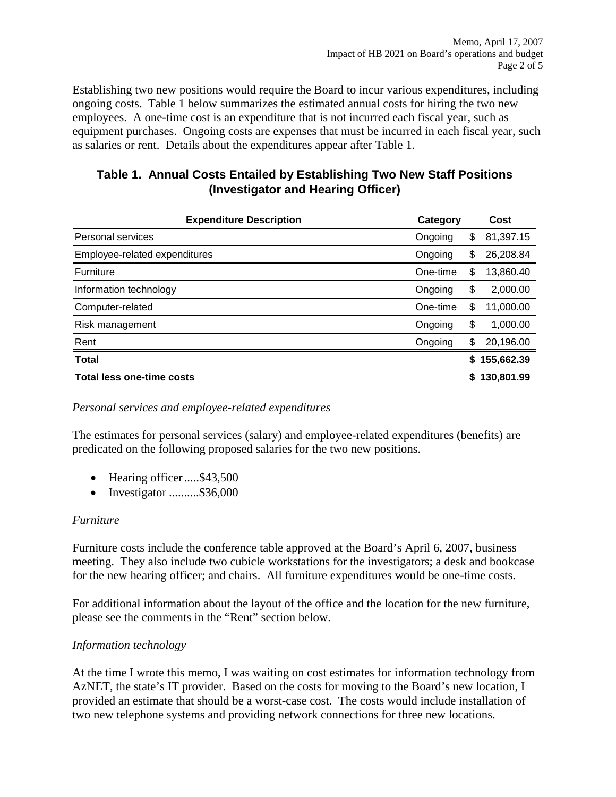Establishing two new positions would require the Board to incur various expenditures, including ongoing costs. Table 1 below summarizes the estimated annual costs for hiring the two new employees. A one-time cost is an expenditure that is not incurred each fiscal year, such as equipment purchases. Ongoing costs are expenses that must be incurred in each fiscal year, such as salaries or rent. Details about the expenditures appear after Table 1.

#### **Table 1. Annual Costs Entailed by Establishing Two New Staff Positions (Investigator and Hearing Officer)**

| <b>Expenditure Description</b> | Category |    | Cost         |
|--------------------------------|----------|----|--------------|
| Personal services              | Ongoing  | \$ | 81,397.15    |
| Employee-related expenditures  | Ongoing  | \$ | 26,208.84    |
| Furniture                      | One-time | \$ | 13,860.40    |
| Information technology         | Ongoing  | \$ | 2,000.00     |
| Computer-related               | One-time | \$ | 11,000.00    |
| Risk management                | Ongoing  | \$ | 1,000.00     |
| Rent                           | Ongoing  | \$ | 20,196.00    |
| <b>Total</b>                   |          |    | \$155,662.39 |
| Total less one-time costs      |          | S  | 130,801.99   |

#### *Personal services and employee-related expenditures*

The estimates for personal services (salary) and employee-related expenditures (benefits) are predicated on the following proposed salaries for the two new positions.

- Hearing officer.....\$43,500
- Investigator ..........\$36,000

#### *Furniture*

Furniture costs include the conference table approved at the Board's April 6, 2007, business meeting. They also include two cubicle workstations for the investigators; a desk and bookcase for the new hearing officer; and chairs. All furniture expenditures would be one-time costs.

For additional information about the layout of the office and the location for the new furniture, please see the comments in the "Rent" section below.

#### *Information technology*

At the time I wrote this memo, I was waiting on cost estimates for information technology from AzNET, the state's IT provider. Based on the costs for moving to the Board's new location, I provided an estimate that should be a worst-case cost. The costs would include installation of two new telephone systems and providing network connections for three new locations.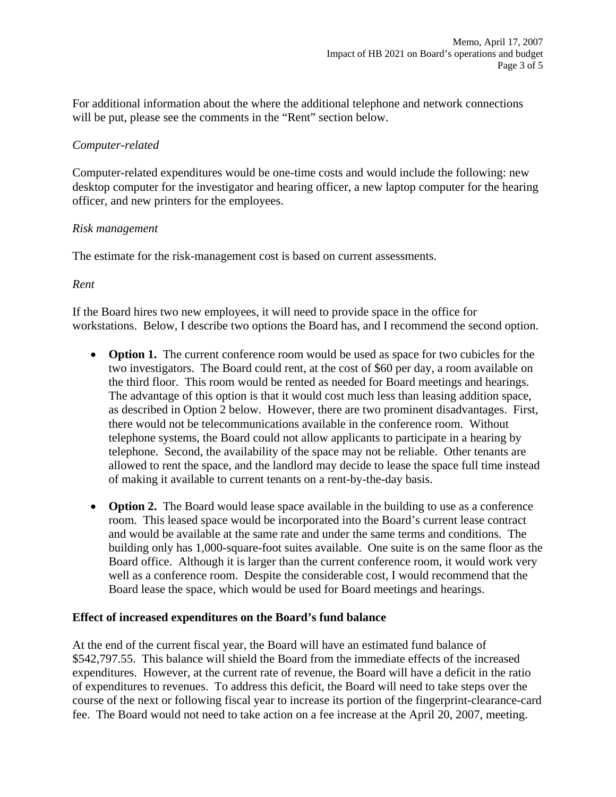For additional information about the where the additional telephone and network connections will be put, please see the comments in the "Rent" section below.

#### *Computer-related*

Computer-related expenditures would be one-time costs and would include the following: new desktop computer for the investigator and hearing officer, a new laptop computer for the hearing officer, and new printers for the employees.

#### *Risk management*

The estimate for the risk-management cost is based on current assessments.

#### *Rent*

If the Board hires two new employees, it will need to provide space in the office for workstations. Below, I describe two options the Board has, and I recommend the second option.

- **Option 1.** The current conference room would be used as space for two cubicles for the two investigators. The Board could rent, at the cost of \$60 per day, a room available on the third floor. This room would be rented as needed for Board meetings and hearings. The advantage of this option is that it would cost much less than leasing addition space, as described in Option 2 below. However, there are two prominent disadvantages. First, there would not be telecommunications available in the conference room. Without telephone systems, the Board could not allow applicants to participate in a hearing by telephone. Second, the availability of the space may not be reliable. Other tenants are allowed to rent the space, and the landlord may decide to lease the space full time instead of making it available to current tenants on a rent-by-the-day basis.
- **Option 2.** The Board would lease space available in the building to use as a conference room. This leased space would be incorporated into the Board's current lease contract and would be available at the same rate and under the same terms and conditions. The building only has 1,000-square-foot suites available. One suite is on the same floor as the Board office. Although it is larger than the current conference room, it would work very well as a conference room. Despite the considerable cost, I would recommend that the Board lease the space, which would be used for Board meetings and hearings.

#### **Effect of increased expenditures on the Board's fund balance**

At the end of the current fiscal year, the Board will have an estimated fund balance of \$542,797.55. This balance will shield the Board from the immediate effects of the increased expenditures. However, at the current rate of revenue, the Board will have a deficit in the ratio of expenditures to revenues. To address this deficit, the Board will need to take steps over the course of the next or following fiscal year to increase its portion of the fingerprint-clearance-card fee. The Board would not need to take action on a fee increase at the April 20, 2007, meeting.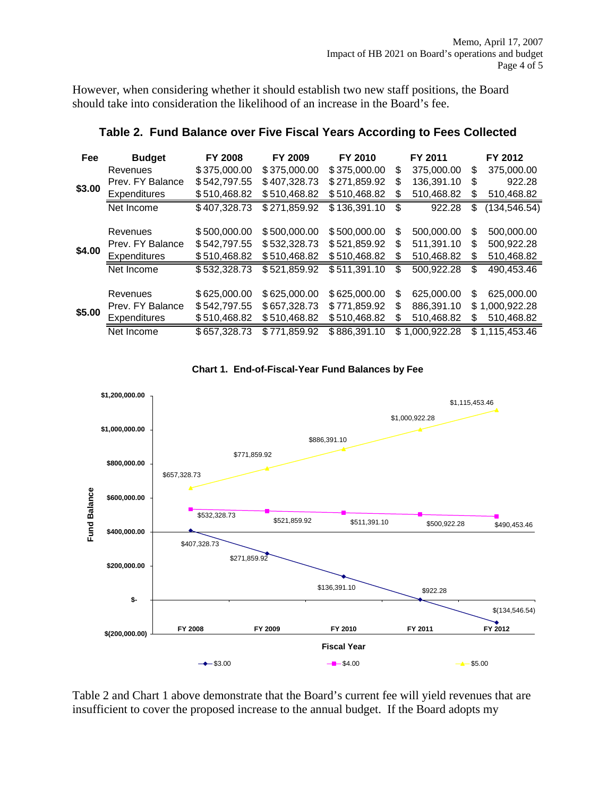However, when considering whether it should establish two new staff positions, the Board should take into consideration the likelihood of an increase in the Board's fee.

| Fee    | <b>Budget</b>       | <b>FY 2008</b> | FY 2009      | FY 2010      |     | FY 2011      |     | FY 2012        |
|--------|---------------------|----------------|--------------|--------------|-----|--------------|-----|----------------|
|        | Revenues            | \$375,000.00   | \$375,000.00 | \$375,000.00 | \$  | 375,000.00   | S   | 375,000.00     |
|        | Prev. FY Balance    | \$542,797.55   | \$407,328.73 | \$271,859.92 | S   | 136,391.10   | \$. | 922.28         |
| \$3.00 | Expenditures        | \$510,468.82   | \$510,468.82 | \$510,468.82 | \$  | 510,468.82   | S   | 510,468.82     |
|        | Net Income          | \$407,328.73   | \$271,859.92 | \$136,391.10 | \$  | 922.28       | \$  | (134, 546.54)  |
|        |                     |                |              |              |     |              |     |                |
|        | Revenues            | \$500,000.00   | \$500,000.00 | \$500,000.00 | \$. | 500.000.00   | \$  | 500.000.00     |
|        | Prev. FY Balance    | \$542,797.55   | \$532,328.73 | \$521,859.92 | S   | 511,391.10   | \$  | 500,922.28     |
| \$4.00 | <b>Expenditures</b> | \$510,468.82   | \$510,468.82 | \$510,468.82 | S   | 510,468.82   | S   | 510,468.82     |
|        | Net Income          | \$532,328.73   | \$521,859.92 | \$511,391.10 | \$  | 500,922.28   | \$  | 490,453.46     |
|        |                     |                |              |              |     |              |     |                |
|        | Revenues            | \$625,000.00   | \$625,000.00 | \$625,000.00 | S   | 625,000.00   | S   | 625,000.00     |
| \$5.00 | Prev. FY Balance    | \$542,797.55   | \$657,328.73 | \$771,859.92 | \$. | 886.391.10   |     | \$1,000,922.28 |
|        | Expenditures        | \$510,468.82   | \$510,468.82 | \$510,468.82 | S   | 510,468.82   | S   | 510,468.82     |
|        | Net Income          | \$657,328.73   | \$771,859.92 | \$886,391.10 | \$. | 1,000,922.28 |     | \$1,115,453.46 |

#### **Table 2. Fund Balance over Five Fiscal Years According to Fees Collected**





Table 2 and Chart 1 above demonstrate that the Board's current fee will yield revenues that are insufficient to cover the proposed increase to the annual budget. If the Board adopts my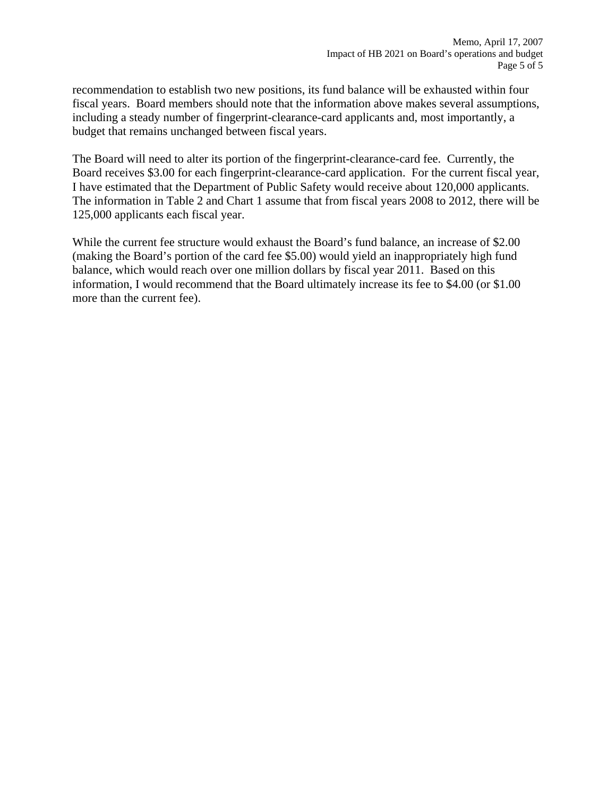recommendation to establish two new positions, its fund balance will be exhausted within four fiscal years. Board members should note that the information above makes several assumptions, including a steady number of fingerprint-clearance-card applicants and, most importantly, a budget that remains unchanged between fiscal years.

The Board will need to alter its portion of the fingerprint-clearance-card fee. Currently, the Board receives \$3.00 for each fingerprint-clearance-card application. For the current fiscal year, I have estimated that the Department of Public Safety would receive about 120,000 applicants. The information in Table 2 and Chart 1 assume that from fiscal years 2008 to 2012, there will be 125,000 applicants each fiscal year.

While the current fee structure would exhaust the Board's fund balance, an increase of \$2.00 (making the Board's portion of the card fee \$5.00) would yield an inappropriately high fund balance, which would reach over one million dollars by fiscal year 2011. Based on this information, I would recommend that the Board ultimately increase its fee to \$4.00 (or \$1.00 more than the current fee).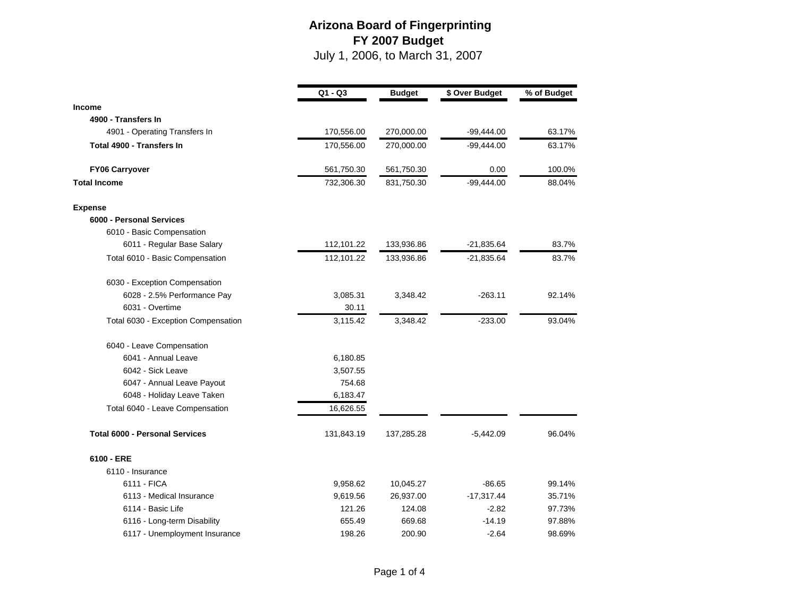|                                       | $Q1 - Q3$  | <b>Budget</b> | \$ Over Budget | % of Budget |
|---------------------------------------|------------|---------------|----------------|-------------|
| <b>Income</b>                         |            |               |                |             |
| 4900 - Transfers In                   |            |               |                |             |
| 4901 - Operating Transfers In         | 170,556.00 | 270,000.00    | $-99,444.00$   | 63.17%      |
| Total 4900 - Transfers In             | 170,556.00 | 270,000.00    | $-99,444.00$   | 63.17%      |
| <b>FY06 Carryover</b>                 | 561,750.30 | 561,750.30    | 0.00           | 100.0%      |
| <b>Total Income</b>                   | 732,306.30 | 831,750.30    | $-99,444.00$   | 88.04%      |
| <b>Expense</b>                        |            |               |                |             |
| 6000 - Personal Services              |            |               |                |             |
| 6010 - Basic Compensation             |            |               |                |             |
| 6011 - Regular Base Salary            | 112,101.22 | 133,936.86    | $-21,835.64$   | 83.7%       |
| Total 6010 - Basic Compensation       | 112,101.22 | 133,936.86    | $-21,835.64$   | 83.7%       |
| 6030 - Exception Compensation         |            |               |                |             |
| 6028 - 2.5% Performance Pay           | 3,085.31   | 3,348.42      | $-263.11$      | 92.14%      |
| 6031 - Overtime                       | 30.11      |               |                |             |
| Total 6030 - Exception Compensation   | 3,115.42   | 3,348.42      | $-233.00$      | 93.04%      |
| 6040 - Leave Compensation             |            |               |                |             |
| 6041 - Annual Leave                   | 6,180.85   |               |                |             |
| 6042 - Sick Leave                     | 3,507.55   |               |                |             |
| 6047 - Annual Leave Payout            | 754.68     |               |                |             |
| 6048 - Holiday Leave Taken            | 6,183.47   |               |                |             |
| Total 6040 - Leave Compensation       | 16,626.55  |               |                |             |
| <b>Total 6000 - Personal Services</b> | 131,843.19 | 137,285.28    | $-5,442.09$    | 96.04%      |
| 6100 - ERE                            |            |               |                |             |
| 6110 - Insurance                      |            |               |                |             |
| 6111 - FICA                           | 9,958.62   | 10,045.27     | $-86.65$       | 99.14%      |
| 6113 - Medical Insurance              | 9,619.56   | 26,937.00     | $-17,317.44$   | 35.71%      |
| 6114 - Basic Life                     | 121.26     | 124.08        | $-2.82$        | 97.73%      |
| 6116 - Long-term Disability           | 655.49     | 669.68        | $-14.19$       | 97.88%      |
| 6117 - Unemployment Insurance         | 198.26     | 200.90        | $-2.64$        | 98.69%      |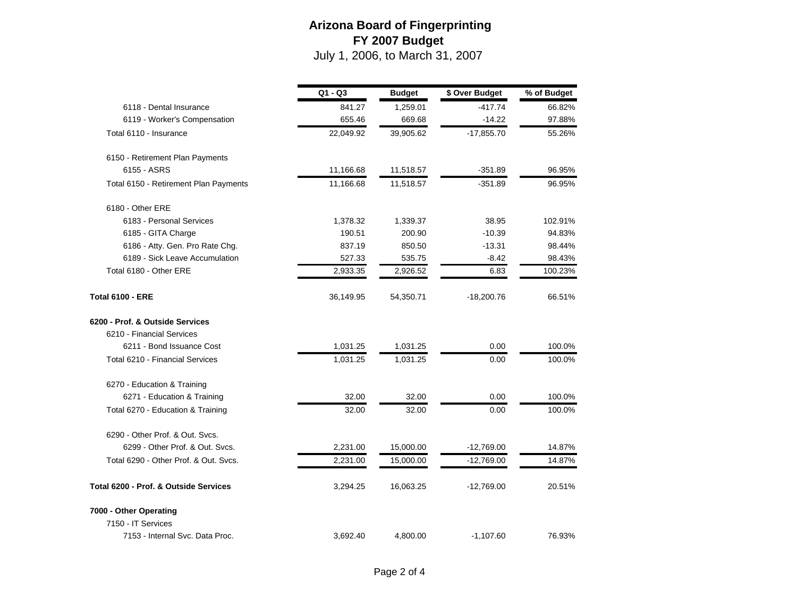|                                       | $Q1 - Q3$ | <b>Budget</b> | \$ Over Budget | % of Budget |
|---------------------------------------|-----------|---------------|----------------|-------------|
| 6118 - Dental Insurance               | 841.27    | 1,259.01      | $-417.74$      | 66.82%      |
| 6119 - Worker's Compensation          | 655.46    | 669.68        | $-14.22$       | 97.88%      |
| Total 6110 - Insurance                | 22,049.92 | 39,905.62     | $-17,855.70$   | 55.26%      |
| 6150 - Retirement Plan Payments       |           |               |                |             |
| 6155 - ASRS                           | 11,166.68 | 11,518.57     | $-351.89$      | 96.95%      |
| Total 6150 - Retirement Plan Payments | 11,166.68 | 11,518.57     | $-351.89$      | 96.95%      |
| 6180 - Other ERE                      |           |               |                |             |
| 6183 - Personal Services              | 1,378.32  | 1,339.37      | 38.95          | 102.91%     |
| 6185 - GITA Charge                    | 190.51    | 200.90        | $-10.39$       | 94.83%      |
| 6186 - Atty. Gen. Pro Rate Chg.       | 837.19    | 850.50        | $-13.31$       | 98.44%      |
| 6189 - Sick Leave Accumulation        | 527.33    | 535.75        | $-8.42$        | 98.43%      |
| Total 6180 - Other ERE                | 2,933.35  | 2,926.52      | 6.83           | 100.23%     |
| <b>Total 6100 - ERE</b>               | 36,149.95 | 54,350.71     | $-18,200.76$   | 66.51%      |
| 6200 - Prof. & Outside Services       |           |               |                |             |
| 6210 - Financial Services             |           |               |                |             |
| 6211 - Bond Issuance Cost             | 1,031.25  | 1,031.25      | 0.00           | 100.0%      |
| Total 6210 - Financial Services       | 1,031.25  | 1,031.25      | 0.00           | 100.0%      |
| 6270 - Education & Training           |           |               |                |             |
| 6271 - Education & Training           | 32.00     | 32.00         | 0.00           | 100.0%      |
| Total 6270 - Education & Training     | 32.00     | 32.00         | 0.00           | 100.0%      |
| 6290 - Other Prof. & Out. Svcs.       |           |               |                |             |
| 6299 - Other Prof. & Out. Svcs.       | 2,231.00  | 15,000.00     | $-12,769.00$   | 14.87%      |
| Total 6290 - Other Prof. & Out. Svcs. | 2,231.00  | 15,000.00     | $-12,769.00$   | 14.87%      |
| Total 6200 - Prof. & Outside Services | 3,294.25  | 16,063.25     | $-12,769.00$   | 20.51%      |
| 7000 - Other Operating                |           |               |                |             |
| 7150 - IT Services                    |           |               |                |             |
| 7153 - Internal Svc. Data Proc.       | 3,692.40  | 4,800.00      | $-1,107.60$    | 76.93%      |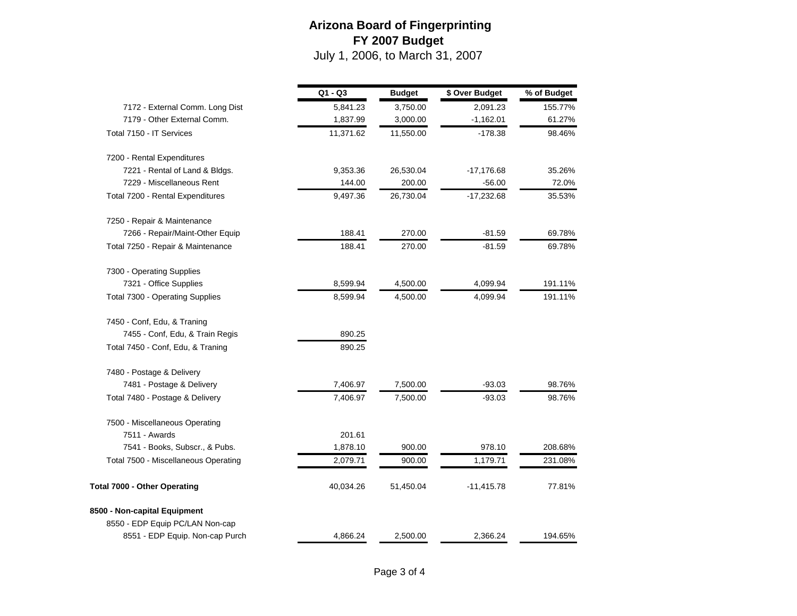|                                      | Q1 - Q3   | <b>Budget</b> | \$ Over Budget | % of Budget |
|--------------------------------------|-----------|---------------|----------------|-------------|
| 7172 - External Comm. Long Dist      | 5,841.23  | 3,750.00      | 2,091.23       | 155.77%     |
| 7179 - Other External Comm.          | 1,837.99  | 3,000.00      | $-1,162.01$    | 61.27%      |
| Total 7150 - IT Services             | 11,371.62 | 11,550.00     | $-178.38$      | 98.46%      |
| 7200 - Rental Expenditures           |           |               |                |             |
| 7221 - Rental of Land & Bldgs.       | 9,353.36  | 26,530.04     | $-17,176.68$   | 35.26%      |
| 7229 - Miscellaneous Rent            | 144.00    | 200.00        | $-56.00$       | 72.0%       |
| Total 7200 - Rental Expenditures     | 9,497.36  | 26,730.04     | $-17,232.68$   | 35.53%      |
| 7250 - Repair & Maintenance          |           |               |                |             |
| 7266 - Repair/Maint-Other Equip      | 188.41    | 270.00        | $-81.59$       | 69.78%      |
| Total 7250 - Repair & Maintenance    | 188.41    | 270.00        | $-81.59$       | 69.78%      |
| 7300 - Operating Supplies            |           |               |                |             |
| 7321 - Office Supplies               | 8,599.94  | 4,500.00      | 4,099.94       | 191.11%     |
| Total 7300 - Operating Supplies      | 8,599.94  | 4,500.00      | 4,099.94       | 191.11%     |
| 7450 - Conf, Edu, & Traning          |           |               |                |             |
| 7455 - Conf, Edu, & Train Regis      | 890.25    |               |                |             |
| Total 7450 - Conf, Edu, & Traning    | 890.25    |               |                |             |
| 7480 - Postage & Delivery            |           |               |                |             |
| 7481 - Postage & Delivery            | 7,406.97  | 7,500.00      | $-93.03$       | 98.76%      |
| Total 7480 - Postage & Delivery      | 7,406.97  | 7,500.00      | $-93.03$       | 98.76%      |
| 7500 - Miscellaneous Operating       |           |               |                |             |
| 7511 - Awards                        | 201.61    |               |                |             |
| 7541 - Books, Subscr., & Pubs.       | 1,878.10  | 900.00        | 978.10         | 208.68%     |
| Total 7500 - Miscellaneous Operating | 2,079.71  | 900.00        | 1,179.71       | 231.08%     |
| Total 7000 - Other Operating         | 40,034.26 | 51,450.04     | $-11,415.78$   | 77.81%      |
| 8500 - Non-capital Equipment         |           |               |                |             |
| 8550 - EDP Equip PC/LAN Non-cap      |           |               |                |             |
| 8551 - EDP Equip. Non-cap Purch      | 4,866.24  | 2,500.00      | 2,366.24       | 194.65%     |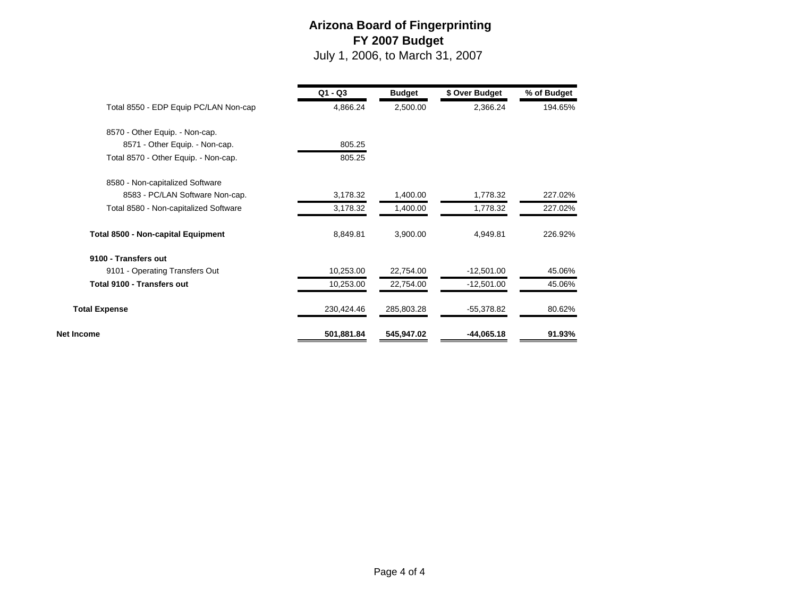|                                           | $Q1 - Q3$  | <b>Budget</b> | \$ Over Budget | % of Budget |
|-------------------------------------------|------------|---------------|----------------|-------------|
| Total 8550 - EDP Equip PC/LAN Non-cap     | 4,866.24   | 2,500.00      | 2,366.24       | 194.65%     |
| 8570 - Other Equip. - Non-cap.            |            |               |                |             |
| 8571 - Other Equip. - Non-cap.            | 805.25     |               |                |             |
| Total 8570 - Other Equip. - Non-cap.      | 805.25     |               |                |             |
| 8580 - Non-capitalized Software           |            |               |                |             |
| 8583 - PC/LAN Software Non-cap.           | 3,178.32   | 1,400.00      | 1,778.32       | 227.02%     |
| Total 8580 - Non-capitalized Software     | 3,178.32   | 1,400.00      | 1,778.32       | 227.02%     |
| <b>Total 8500 - Non-capital Equipment</b> | 8,849.81   | 3,900.00      | 4,949.81       | 226.92%     |
| 9100 - Transfers out                      |            |               |                |             |
| 9101 - Operating Transfers Out            | 10,253.00  | 22,754.00     | $-12,501.00$   | 45.06%      |
| <b>Total 9100 - Transfers out</b>         | 10,253.00  | 22,754.00     | $-12,501.00$   | 45.06%      |
| <b>Total Expense</b>                      | 230,424.46 | 285,803.28    | $-55,378.82$   | 80.62%      |
| Net Income                                | 501,881.84 | 545,947.02    | $-44,065.18$   | 91.93%      |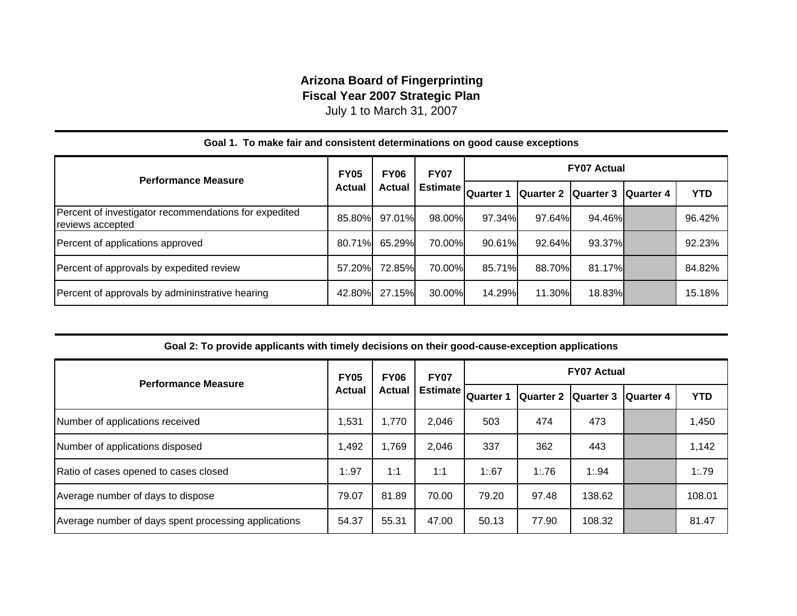#### **Arizona Board of Fingerprinting Fiscal Year 2007 Strategic Plan**

July 1 to March 31, 2007

| <b>Performance Measure</b>                                                | <b>FY05</b><br><b>FY06</b> |        | <b>FY07</b>     |                   |        | <b>FY07 Actual</b>            |            |
|---------------------------------------------------------------------------|----------------------------|--------|-----------------|-------------------|--------|-------------------------------|------------|
|                                                                           | <b>Actual</b>              | Actual | <b>Estimate</b> | <b>IQuarter 1</b> |        | Quarter 2 Quarter 3 Quarter 4 | <b>YTD</b> |
| Percent of investigator recommendations for expedited<br>reviews accepted | 85.80%                     | 97.01% | 98.00%          | 97.34%            | 97.64% | 94.46%                        | 96.42%     |
| Percent of applications approved                                          | 80.71%                     | 65.29% | 70.00%          | 90.61%            | 92.64% | 93.37%                        | 92.23%     |
| Percent of approvals by expedited review                                  | 57.20%                     | 72.85% | 70.00%          | 85.71%            | 88.70% | 81.17%                        | 84.82%     |
| Percent of approvals by admininstrative hearing                           | 42.80%                     | 27.15% | 30.00%          | 14.29%            | 11.30% | 18.83%                        | 15.18%     |

#### **Goal 1. To make fair and consistent determinations on good cause exceptions**

| Goal 2: To provide applicants with timely decisions on their good-cause-exception applications |  |  |
|------------------------------------------------------------------------------------------------|--|--|
|                                                                                                |  |  |

| <b>Performance Measure</b>                           | <b>FY06</b><br><b>FY05</b> | <b>FY07</b> | <b>FY07 Actual</b> |           |           |                  |                  |            |
|------------------------------------------------------|----------------------------|-------------|--------------------|-----------|-----------|------------------|------------------|------------|
|                                                      | Actual                     | Actual      | <b>Estimate</b>    | Quarter 1 | Quarter 2 | <b>Quarter 3</b> | <b>Quarter 4</b> | <b>YTD</b> |
| Number of applications received                      | 1,531                      | 1,770       | 2,046              | 503       | 474       | 473              |                  | 1,450      |
| Number of applications disposed                      | 1,492                      | 1,769       | 2,046              | 337       | 362       | 443              |                  | 1,142      |
| Ratio of cases opened to cases closed                | 1:97                       | 1:1         | 1:1                | 1:67      | 1:76      | 1:94             |                  | 1:79       |
| Average number of days to dispose                    | 79.07                      | 81.89       | 70.00              | 79.20     | 97.48     | 138.62           |                  | 108.01     |
| Average number of days spent processing applications | 54.37                      | 55.31       | 47.00              | 50.13     | 77.90     | 108.32           |                  | 81.47      |